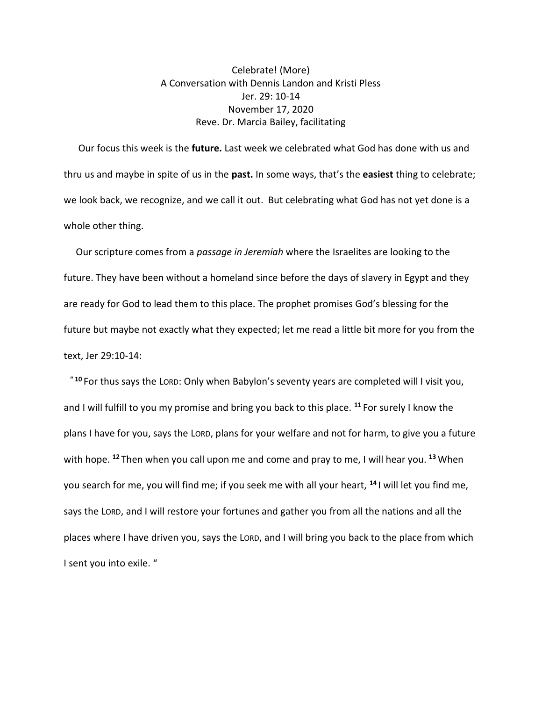## Celebrate! (More) A Conversation with Dennis Landon and Kristi Pless Jer. 29: 10-14 November 17, 2020 Reve. Dr. Marcia Bailey, facilitating

 Our focus this week is the **future.** Last week we celebrated what God has done with us and thru us and maybe in spite of us in the **past.** In some ways, that's the **easiest** thing to celebrate; we look back, we recognize, and we call it out. But celebrating what God has not yet done is a whole other thing.

 Our scripture comes from a *passage in Jeremiah* where the Israelites are looking to the future. They have been without a homeland since before the days of slavery in Egypt and they are ready for God to lead them to this place. The prophet promises God's blessing for the future but maybe not exactly what they expected; let me read a little bit more for you from the text, Jer 29:10-14:

 **" <sup>10</sup>** For thus says the LORD: Only when Babylon's seventy years are completed will I visit you, and I will fulfill to you my promise and bring you back to this place. **<sup>11</sup>** For surely I know the plans I have for you, says the LORD, plans for your welfare and not for harm, to give you a future with hope. **<sup>12</sup>** Then when you call upon me and come and pray to me, I will hear you. **<sup>13</sup>** When you search for me, you will find me; if you seek me with all your heart, **<sup>14</sup>** I will let you find me, says the LORD, and I will restore your fortunes and gather you from all the nations and all the places where I have driven you, says the LORD, and I will bring you back to the place from which I sent you into exile. "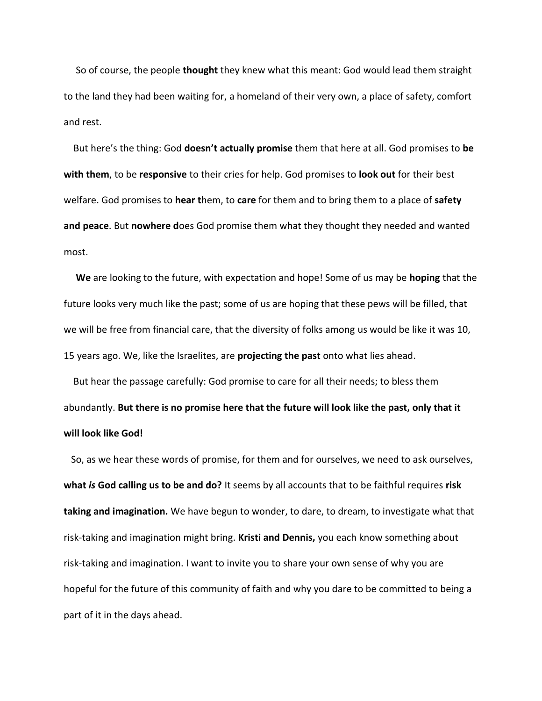So of course, the people **thought** they knew what this meant: God would lead them straight to the land they had been waiting for, a homeland of their very own, a place of safety, comfort and rest.

 But here's the thing: God **doesn't actually promise** them that here at all. God promises to **be with them**, to be **responsive** to their cries for help. God promises to **look out** for their best welfare. God promises to **hear t**hem, to **care** for them and to bring them to a place of **safety and peace**. But **nowhere d**oes God promise them what they thought they needed and wanted most.

 **We** are looking to the future, with expectation and hope! Some of us may be **hoping** that the future looks very much like the past; some of us are hoping that these pews will be filled, that we will be free from financial care, that the diversity of folks among us would be like it was 10, 15 years ago. We, like the Israelites, are **projecting the past** onto what lies ahead.

 But hear the passage carefully: God promise to care for all their needs; to bless them abundantly. **But there is no promise here that the future will look like the past, only that it will look like God!**

 So, as we hear these words of promise, for them and for ourselves, we need to ask ourselves, **what** *is* **God calling us to be and do?** It seems by all accounts that to be faithful requires **risk taking and imagination.** We have begun to wonder, to dare, to dream, to investigate what that risk-taking and imagination might bring. **Kristi and Dennis,** you each know something about risk-taking and imagination. I want to invite you to share your own sense of why you are hopeful for the future of this community of faith and why you dare to be committed to being a part of it in the days ahead.